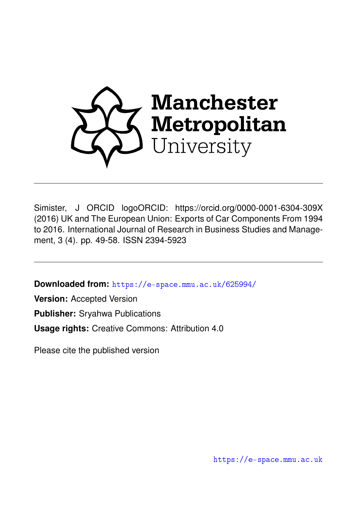

Simister, J ORCID logoORCID: https://orcid.org/0000-0001-6304-309X (2016) UK and The European Union: Exports of Car Components From 1994 to 2016. International Journal of Research in Business Studies and Management, 3 (4). pp. 49-58. ISSN 2394-5923

**Downloaded from:** <https://e-space.mmu.ac.uk/625994/>

**Version:** Accepted Version

**Publisher:** Sryahwa Publications

**Usage rights:** Creative Commons: Attribution 4.0

Please cite the published version

<https://e-space.mmu.ac.uk>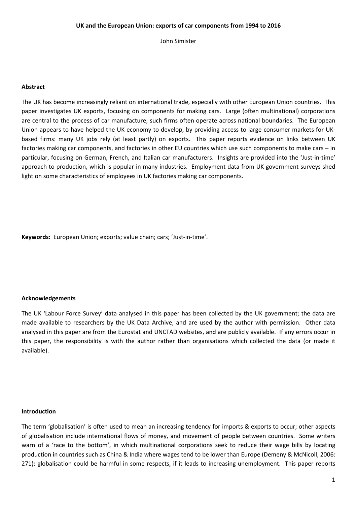John Simister

#### **Abstract**

The UK has become increasingly reliant on international trade, especially with other European Union countries. This paper investigates UK exports, focusing on components for making cars. Large (often multinational) corporations are central to the process of car manufacture; such firms often operate across national boundaries. The European Union appears to have helped the UK economy to develop, by providing access to large consumer markets for UKbased firms: many UK jobs rely (at least partly) on exports. This paper reports evidence on links between UK factories making car components, and factories in other EU countries which use such components to make cars – in particular, focusing on German, French, and Italian car manufacturers. Insights are provided into the 'Just-in-time' approach to production, which is popular in many industries. Employment data from UK government surveys shed light on some characteristics of employees in UK factories making car components.

**Keywords:** European Union; exports; value chain; cars; 'Just-in-time'.

## **Acknowledgements**

The UK 'Labour Force Survey' data analysed in this paper has been collected by the UK government; the data are made available to researchers by the UK Data Archive, and are used by the author with permission. Other data analysed in this paper are from the Eurostat and UNCTAD websites, and are publicly available. If any errors occur in this paper, the responsibility is with the author rather than organisations which collected the data (or made it available).

#### **Introduction**

The term 'globalisation' is often used to mean an increasing tendency for imports & exports to occur; other aspects of globalisation include international flows of money, and movement of people between countries. Some writers warn of a 'race to the bottom', in which multinational corporations seek to reduce their wage bills by locating production in countries such as China & India where wages tend to be lower than Europe (Demeny & McNicoll, 2006: 271): globalisation could be harmful in some respects, if it leads to increasing unemployment. This paper reports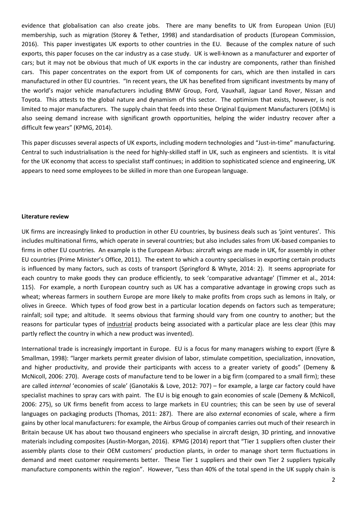evidence that globalisation can also create jobs. There are many benefits to UK from European Union (EU) membership, such as migration (Storey & Tether, 1998) and standardisation of products (European Commission, 2016). This paper investigates UK exports to other countries in the EU. Because of the complex nature of such exports, this paper focuses on the car industry as a case study. UK is well-known as a manufacturer and exporter of cars; but it may not be obvious that much of UK exports in the car industry are components, rather than finished cars. This paper concentrates on the export from UK of components for cars, which are then installed in cars manufactured in other EU countries. "In recent years, the UK has benefited from significant investments by many of the world's major vehicle manufacturers including BMW Group, Ford, Vauxhall, Jaguar Land Rover, Nissan and Toyota. This attests to the global nature and dynamism of this sector. The optimism that exists, however, is not limited to major manufacturers. The supply chain that feeds into these Original Equipment Manufacturers (OEMs) is also seeing demand increase with significant growth opportunities, helping the wider industry recover after a difficult few years" (KPMG, 2014).

This paper discusses several aspects of UK exports, including modern technologies and "Just-in-time" manufacturing. Central to such industrialisation is the need for highly-skilled staff in UK, such as engineers and scientists. It is vital for the UK economy that access to specialist staff continues; in addition to sophisticated science and engineering, UK appears to need some employees to be skilled in more than one European language.

## **Literature review**

UK firms are increasingly linked to production in other EU countries, by business deals such as 'joint ventures'. This includes multinational firms, which operate in several countries; but also includes sales from UK-based companies to firms in other EU countries. An example is the European Airbus: aircraft wings are made in UK, for assembly in other EU countries (Prime Minister's Office, 2011). The extent to which a country specialises in exporting certain products is influenced by many factors, such as costs of transport (Springford & Whyte, 2014: 2). It seems appropriate for each country to make goods they can produce efficiently, to seek 'comparative advantage' (Timmer et al., 2014: 115). For example, a north European country such as UK has a comparative advantage in growing crops such as wheat; whereas farmers in southern Europe are more likely to make profits from crops such as lemons in Italy, or olives in Greece. Which types of food grow best in a particular location depends on factors such as temperature; rainfall; soil type; and altitude. It seems obvious that farming should vary from one country to another; but the reasons for particular types of industrial products being associated with a particular place are less clear (this may partly reflect the country in which a new product was invented).

International trade is increasingly important in Europe. EU is a focus for many managers wishing to export (Eyre & Smallman, 1998): "larger markets permit greater division of labor, stimulate competition, specialization, innovation, and higher productivity, and provide their participants with access to a greater variety of goods" (Demeny & McNicoll, 2006: 270). Average costs of manufacture tend to be lower in a big firm (compared to a small firm); these are called *internal* 'economies of scale' (Ganotakis & Love, 2012: 707) – for example, a large car factory could have specialist machines to spray cars with paint. The EU is big enough to gain economies of scale (Demeny & McNicoll, 2006: 275), so UK firms benefit from access to large markets in EU countries; this can be seen by use of several languages on packaging products (Thomas, 2011: 287). There are also *external* economies of scale, where a firm gains by other local manufacturers: for example, the Airbus Group of companies carries out much of their research in Britain because UK has about two thousand engineers who specialise in aircraft design, 3D printing, and innovative materials including composites (Austin-Morgan, 2016). KPMG (2014) report that "Tier 1 suppliers often cluster their assembly plants close to their OEM customers' production plants, in order to manage short term fluctuations in demand and meet customer requirements better. These Tier 1 suppliers and their own Tier 2 suppliers typically manufacture components within the region". However, "Less than 40% of the total spend in the UK supply chain is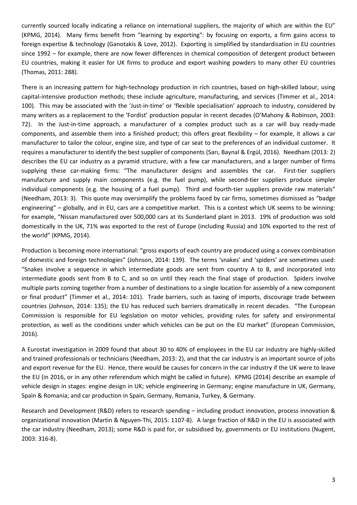currently sourced locally indicating a reliance on international suppliers, the majority of which are within the EU" (KPMG, 2014). Many firms benefit from "learning by exporting": by focusing on exports, a firm gains access to foreign expertise & technology (Ganotakis & Love, 2012). Exporting is simplified by standardisation in EU countries since 1992 – for example, there are now fewer differences in chemical composition of detergent product between EU countries, making it easier for UK firms to produce and export washing powders to many other EU countries (Thomas, 2011: 288).

There is an increasing pattern for high-technology production in rich countries, based on high-skilled labour, using capital-intensive production methods; these include agriculture, manufacturing, and services (Timmer et al., 2014: 100). This may be associated with the 'Just-in-time' or 'flexible specialisation' approach to industry, considered by many writers as a replacement to the 'Fordist' production popular in recent decades (O'Mahony & Robinson, 2003: 72). In the Just-in-time approach, a manufacturer of a complex product such as a car will buy ready-made components, and assemble them into a finished product; this offers great flexibility – for example, it allows a car manufacturer to tailor the colour, engine size, and type of car seat to the preferences of an individual customer. It requires a manufacturer to identify the best supplier of components (Sarı, Baynal & Ergül, 2016). Needham (2013: 2) describes the EU car industry as a pyramid structure, with a few car manufacturers, and a larger number of firms supplying these car-making firms: "The manufacturer designs and assembles the car. First-tier suppliers manufacture and supply main components (e.g. the fuel pump), while second-tier suppliers produce simpler individual components (e.g. the housing of a fuel pump). Third and fourth-tier suppliers provide raw materials" (Needham, 2013: 3). This quote may oversimplify the problems faced by car firms, sometimes dismissed as "badge engineering" – globally, and in EU, cars are a competitive market. This is a contest which UK seems to be winning: for example, "Nissan manufactured over 500,000 cars at its Sunderland plant in 2013. 19% of production was sold domestically in the UK, 71% was exported to the rest of Europe (including Russia) and 10% exported to the rest of the world" (KPMG, 2014).

Production is becoming more international: "gross exports of each country are produced using a convex combination of domestic and foreign technologies" (Johnson, 2014: 139). The terms 'snakes' and 'spiders' are sometimes used: "Snakes involve a sequence in which intermediate goods are sent from country A to B, and incorporated into intermediate goods sent from B to C, and so on until they reach the final stage of production. Spiders involve multiple parts coming together from a number of destinations to a single location for assembly of a new component or final product" (Timmer et al., 2014: 101). Trade barriers, such as taxing of imports, discourage trade between countries (Johnson, 2014: 135); the EU has reduced such barriers dramatically in recent decades. "The European Commission is responsible for EU legislation on motor vehicles, providing rules for safety and environmental protection, as well as the conditions under which vehicles can be put on the EU market" (European Commission, 2016).

A Eurostat investigation in 2009 found that about 30 to 40% of employees in the EU car industry are highly-skilled and trained professionals or technicians (Needham, 2013: 2), and that the car industry is an important source of jobs and export revenue for the EU. Hence, there would be causes for concern in the car industry if the UK were to leave the EU (in 2016, or in any other referendum which might be called in future). KPMG (2014) describe an example of vehicle design in stages: engine design in UK; vehicle engineering in Germany; engine manufacture in UK, Germany, Spain & Romania; and car production in Spain, Germany, Romania, Turkey, & Germany.

Research and Development (R&D) refers to research spending – including product innovation, process innovation & organizational innovation (Martin & Nguyen-Thi, 2015: 1107-8). A large fraction of R&D in the EU is associated with the car industry (Needham, 2013); some R&D is paid for, or subsidised by, governments or EU institutions (Nugent, 2003: 316-8).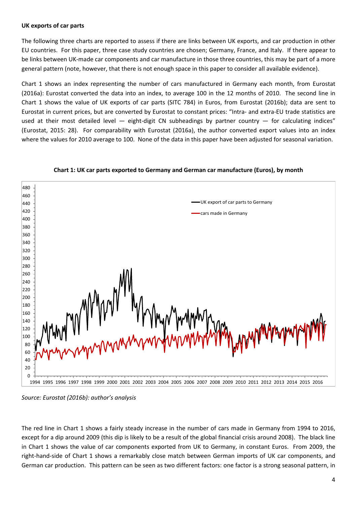## **UK exports of car parts**

The following three charts are reported to assess if there are links between UK exports, and car production in other EU countries. For this paper, three case study countries are chosen; Germany, France, and Italy. If there appear to be links between UK-made car components and car manufacture in those three countries, this may be part of a more general pattern (note, however, that there is not enough space in this paper to consider all available evidence).

Chart 1 shows an index representing the number of cars manufactured in Germany each month, from Eurostat (2016a): Eurostat converted the data into an index, to average 100 in the 12 months of 2010. The second line in Chart 1 shows the value of UK exports of car parts (SITC 784) in Euros, from Eurostat (2016b); data are sent to Eurostat in current prices, but are converted by Eurostat to constant prices: "Intra- and extra-EU trade statistics are used at their most detailed level — eight-digit CN subheadings by partner country — for calculating indices" (Eurostat, 2015: 28). For comparability with Eurostat (2016a), the author converted export values into an index where the values for 2010 average to 100. None of the data in this paper have been adjusted for seasonal variation.



**Chart 1: UK car parts exported to Germany and German car manufacture (Euros), by month**

*Source: Eurostat (2016b): author's analysis*

The red line in Chart 1 shows a fairly steady increase in the number of cars made in Germany from 1994 to 2016, except for a dip around 2009 (this dip is likely to be a result of the global financial crisis around 2008). The black line in Chart 1 shows the value of car components exported from UK to Germany, in constant Euros. From 2009, the right-hand-side of Chart 1 shows a remarkably close match between German imports of UK car components, and German car production. This pattern can be seen as two different factors: one factor is a strong seasonal pattern, in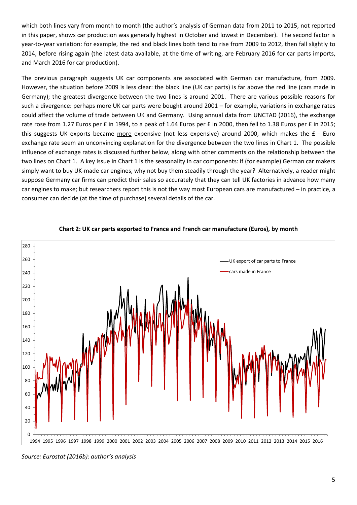which both lines vary from month to month (the author's analysis of German data from 2011 to 2015, not reported in this paper, shows car production was generally highest in October and lowest in December). The second factor is year-to-year variation: for example, the red and black lines both tend to rise from 2009 to 2012, then fall slightly to 2014, before rising again (the latest data available, at the time of writing, are February 2016 for car parts imports, and March 2016 for car production).

The previous paragraph suggests UK car components are associated with German car manufacture, from 2009. However, the situation before 2009 is less clear: the black line (UK car parts) is far above the red line (cars made in Germany); the greatest divergence between the two lines is around 2001. There are various possible reasons for such a divergence: perhaps more UK car parts were bought around 2001 – for example, variations in exchange rates could affect the volume of trade between UK and Germany. Using annual data from UNCTAD (2016), the exchange rate rose from 1.27 Euros per £ in 1994, to a peak of 1.64 Euros per £ in 2000, then fell to 1.38 Euros per £ in 2015; this suggests UK exports became more expensive (not less expensive) around 2000, which makes the £ - Euro exchange rate seem an unconvincing explanation for the divergence between the two lines in Chart 1. The possible influence of exchange rates is discussed further below, along with other comments on the relationship between the two lines on Chart 1. A key issue in Chart 1 is the seasonality in car components: if (for example) German car makers simply want to buy UK-made car engines, why not buy them steadily through the year? Alternatively, a reader might suppose Germany car firms can predict their sales so accurately that they can tell UK factories in advance how many car engines to make; but researchers report this is not the way most European cars are manufactured – in practice, a consumer can decide (at the time of purchase) several details of the car.



# **Chart 2: UK car parts exported to France and French car manufacture (Euros), by month**

*Source: Eurostat (2016b): author's analysis*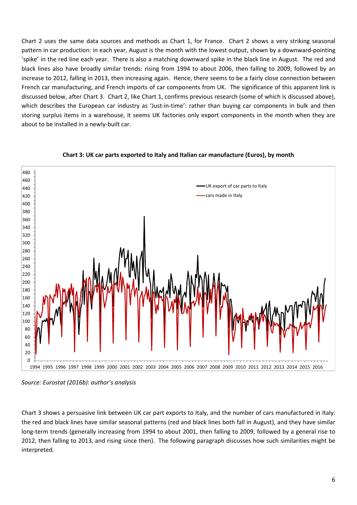Chart 2 uses the same data sources and methods as Chart 1, for France. Chart 2 shows a very striking seasonal pattern in car production: in each year, August is the month with the lowest output, shown by a downward-pointing 'spike' in the red line each year. There is also a matching downward spike in the black line in August. The red and black lines also have broadly similar trends: rising from 1994 to about 2006, then falling to 2009, followed by an increase to 2012, falling in 2013, then increasing again. Hence, there seems to be a fairly close connection between French car manufacturing, and French imports of car components from UK. The significance of this apparent link is discussed below, after Chart 3. Chart 2, like Chart 1, confirms previous research (some of which is discussed above), which describes the European car industry as 'Just-in-time': rather than buying car components in bulk and then storing surplus items in a warehouse, it seems UK factories only export components in the month when they are about to be installed in a newly-built car.



## **Chart 3: UK car parts exported to Italy and Italian car manufacture (Euros), by month**

*Source: Eurostat (2016b): author's analysis*

Chart 3 shows a persuasive link between UK car part exports to Italy, and the number of cars manufactured in Italy: the red and black lines have similar seasonal patterns (red and black lines both fall in August), and they have similar long-term trends (generally increasing from 1994 to about 2001, then falling to 2009, followed by a general rise to 2012, then falling to 2013, and rising since then). The following paragraph discusses how such similarities might be interpreted.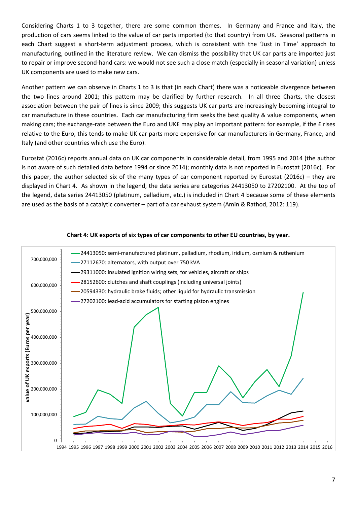Considering Charts 1 to 3 together, there are some common themes. In Germany and France and Italy, the production of cars seems linked to the value of car parts imported (to that country) from UK. Seasonal patterns in each Chart suggest a short-term adjustment process, which is consistent with the 'Just in Time' approach to manufacturing, outlined in the literature review. We can dismiss the possibility that UK car parts are imported just to repair or improve second-hand cars: we would not see such a close match (especially in seasonal variation) unless UK components are used to make new cars.

Another pattern we can observe in Charts 1 to 3 is that (in each Chart) there was a noticeable divergence between the two lines around 2001; this pattern may be clarified by further research. In all three Charts, the closest association between the pair of lines is since 2009; this suggests UK car parts are increasingly becoming integral to car manufacture in these countries. Each car manufacturing firm seeks the best quality & value components, when making cars; the exchange-rate between the Euro and UK£ may play an important pattern: for example, if the £ rises relative to the Euro, this tends to make UK car parts more expensive for car manufacturers in Germany, France, and Italy (and other countries which use the Euro).

Eurostat (2016c) reports annual data on UK car components in considerable detail, from 1995 and 2014 (the author is not aware of such detailed data before 1994 or since 2014); monthly data is not reported in Eurostat (2016c). For this paper, the author selected six of the many types of car component reported by Eurostat (2016c) – they are displayed in Chart 4. As shown in the legend, the data series are categories 24413050 to 27202100. At the top of the legend, data series 24413050 (platinum, palladium, etc.) is included in Chart 4 because some of these elements are used as the basis of a catalytic converter – part of a car exhaust system (Amin & Rathod, 2012: 119).



## **Chart 4: UK exports of six types of car components to other EU countries, by year.**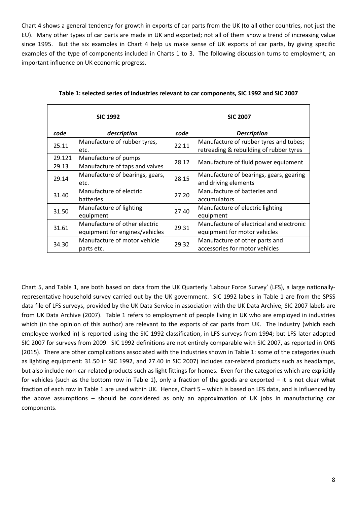Chart 4 shows a general tendency for growth in exports of car parts from the UK (to all other countries, not just the EU). Many other types of car parts are made in UK and exported; not all of them show a trend of increasing value since 1995. But the six examples in Chart 4 help us make sense of UK exports of car parts, by giving specific examples of the type of components included in Charts 1 to 3. The following discussion turns to employment, an important influence on UK economic progress.

| <b>SIC 1992</b> |                                      | <b>SIC 2007</b> |                                                                                   |
|-----------------|--------------------------------------|-----------------|-----------------------------------------------------------------------------------|
| code            | description                          | code            | <b>Description</b>                                                                |
| 25.11           | Manufacture of rubber tyres,<br>etc. | 22.11           | Manufacture of rubber tyres and tubes;<br>retreading & rebuilding of rubber tyres |
| 29.121          | Manufacture of pumps                 | 28.12           | Manufacture of fluid power equipment                                              |
| 29.13           | Manufacture of taps and valves       |                 |                                                                                   |
| 29.14           | Manufacture of bearings, gears,      | 28.15           | Manufacture of bearings, gears, gearing                                           |
|                 | etc.                                 |                 | and driving elements                                                              |
| 31.40           | Manufacture of electric              | 27.20           | Manufacture of batteries and                                                      |
|                 | batteries                            |                 | accumulators                                                                      |
| 31.50           | Manufacture of lighting              | 27.40           | Manufacture of electric lighting                                                  |
|                 | equipment                            |                 | equipment                                                                         |
| 31.61           | Manufacture of other electric        | 29.31           | Manufacture of electrical and electronic                                          |
|                 | equipment for engines/vehicles       |                 | equipment for motor vehicles                                                      |
| 34.30           | Manufacture of motor vehicle         | 29.32           | Manufacture of other parts and                                                    |
|                 | parts etc.                           |                 | accessories for motor vehicles                                                    |

Chart 5, and Table 1, are both based on data from the UK Quarterly 'Labour Force Survey' (LFS), a large nationallyrepresentative household survey carried out by the UK government. SIC 1992 labels in Table 1 are from the SPSS data file of LFS surveys, provided by the UK Data Service in association with the UK Data Archive; SIC 2007 labels are from UK Data Archive (2007). Table 1 refers to employment of people living in UK who are employed in industries which (in the opinion of this author) are relevant to the exports of car parts from UK. The industry (which each employee worked in) is reported using the SIC 1992 classification, in LFS surveys from 1994; but LFS later adopted SIC 2007 for surveys from 2009. SIC 1992 definitions are not entirely comparable with SIC 2007, as reported in ONS (2015). There are other complications associated with the industries shown in Table 1: some of the categories (such as lighting equipment: 31.50 in SIC 1992, and 27.40 in SIC 2007) includes car-related products such as headlamps, but also include non-car-related products such as light fittings for homes. Even for the categories which are explicitly for vehicles (such as the bottom row in Table 1), only a fraction of the goods are exported – it is not clear **what** fraction of each row in Table 1 are used within UK. Hence, Chart 5 – which is based on LFS data, and is influenced by the above assumptions – should be considered as only an approximation of UK jobs in manufacturing car components.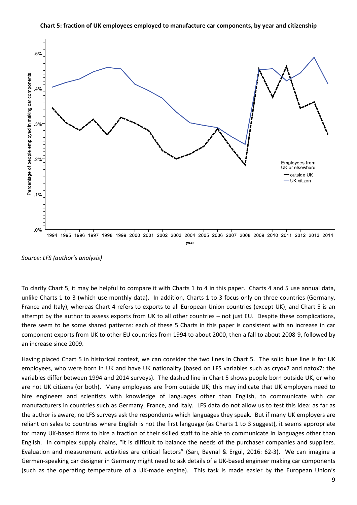

**Chart 5: fraction of UK employees employed to manufacture car components, by year and citizenship**

*Source: LFS (author's analysis)*

To clarify Chart 5, it may be helpful to compare it with Charts 1 to 4 in this paper. Charts 4 and 5 use annual data, unlike Charts 1 to 3 (which use monthly data). In addition, Charts 1 to 3 focus only on three countries (Germany, France and Italy), whereas Chart 4 refers to exports to all European Union countries (except UK); and Chart 5 is an attempt by the author to assess exports from UK to all other countries – not just EU. Despite these complications, there seem to be some shared patterns: each of these 5 Charts in this paper is consistent with an increase in car component exports from UK to other EU countries from 1994 to about 2000, then a fall to about 2008-9, followed by an increase since 2009.

Having placed Chart 5 in historical context, we can consider the two lines in Chart 5. The solid blue line is for UK employees, who were born in UK and have UK nationality (based on LFS variables such as cryox7 and natox7: the variables differ between 1994 and 2014 surveys). The dashed line in Chart 5 shows people born outside UK, or who are not UK citizens (or both). Many employees are from outside UK; this may indicate that UK employers need to hire engineers and scientists with knowledge of languages other than English, to communicate with car manufacturers in countries such as Germany, France, and Italy. LFS data do not allow us to test this idea: as far as the author is aware, no LFS surveys ask the respondents which languages they speak. But if many UK employers are reliant on sales to countries where English is not the first language (as Charts 1 to 3 suggest), it seems appropriate for many UK-based firms to hire a fraction of their skilled staff to be able to communicate in languages other than English. In complex supply chains, "it is difficult to balance the needs of the purchaser companies and suppliers. Evaluation and measurement activities are critical factors" (Sarı, Baynal & Ergül, 2016: 62-3). We can imagine a German-speaking car designer in Germany might need to ask details of a UK-based engineer making car components (such as the operating temperature of a UK-made engine). This task is made easier by the European Union's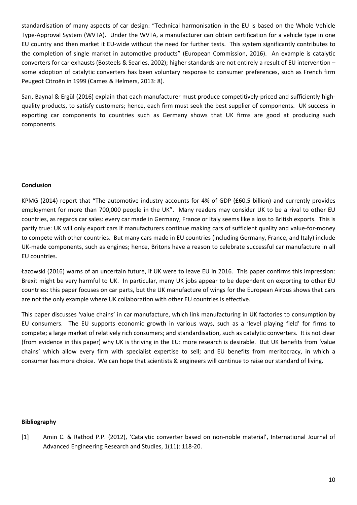standardisation of many aspects of car design: "Technical harmonisation in the EU is based on the Whole Vehicle Type-Approval System (WVTA). Under the WVTA, a manufacturer can obtain certification for a vehicle type in one EU country and then market it EU-wide without the need for further tests. This system significantly contributes to the completion of single market in automotive products" (European Commission, 2016). An example is catalytic converters for car exhausts (Bosteels & Searles, 2002); higher standards are not entirely a result of EU intervention – some adoption of catalytic converters has been voluntary response to consumer preferences, such as French firm Peugeot Citroën in 1999 (Cames & Helmers, 2013: 8).

Sarı, Baynal & Ergül (2016) explain that each manufacturer must produce competitively-priced and sufficiently highquality products, to satisfy customers; hence, each firm must seek the best supplier of components. UK success in exporting car components to countries such as Germany shows that UK firms are good at producing such components.

# **Conclusion**

KPMG (2014) report that "The automotive industry accounts for 4% of GDP (£60.5 billion) and currently provides employment for more than 700,000 people in the UK". Many readers may consider UK to be a rival to other EU countries, as regards car sales: every car made in Germany, France or Italy seems like a loss to British exports. This is partly true: UK will only export cars if manufacturers continue making cars of sufficient quality and value-for-money to compete with other countries. But many cars made in EU countries (including Germany, France, and Italy) include UK-made components, such as engines; hence, Britons have a reason to celebrate successful car manufacture in all EU countries.

Łazowski (2016) warns of an uncertain future, if UK were to leave EU in 2016. This paper confirms this impression: Brexit might be very harmful to UK. In particular, many UK jobs appear to be dependent on exporting to other EU countries: this paper focuses on car parts, but the UK manufacture of wings for the European Airbus shows that cars are not the only example where UK collaboration with other EU countries is effective.

This paper discusses 'value chains' in car manufacture, which link manufacturing in UK factories to consumption by EU consumers. The EU supports economic growth in various ways, such as a 'level playing field' for firms to compete; a large market of relatively rich consumers; and standardisation, such as catalytic converters. It is not clear (from evidence in this paper) why UK is thriving in the EU: more research is desirable. But UK benefits from 'value chains' which allow every firm with specialist expertise to sell; and EU benefits from meritocracy, in which a consumer has more choice. We can hope that scientists & engineers will continue to raise our standard of living.

## **Bibliography**

[1] Amin C. & Rathod P.P. (2012), 'Catalytic converter based on non-noble material', International Journal of Advanced Engineering Research and Studies, 1(11): 118-20.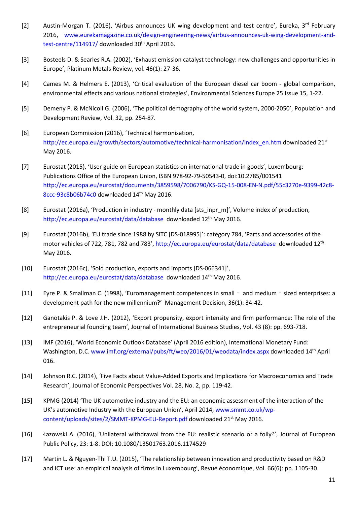- [2] Austin-Morgan T. (2016), 'Airbus announces UK wing development and test centre', Eureka, 3<sup>rd</sup> February 2016, [www.eurekamagazine.co.uk/design-engineering-news/airbus-announces-uk-wing-development-and](http://www.eurekamagazine.co.uk/design-engineering-news/airbus-announces-uk-wing-development-and-test-centre/114917/)[test-centre/114917/](http://www.eurekamagazine.co.uk/design-engineering-news/airbus-announces-uk-wing-development-and-test-centre/114917/) downloaded 30<sup>th</sup> April 2016.
- [3] Bosteels D. & Searles R.A. (2002), 'Exhaust emission catalyst technology: new challenges and opportunities in Europe', Platinum Metals Review, vol. 46(1): 27-36.
- [4] Cames M. & Helmers E. (2013), 'Critical evaluation of the European diesel car boom global comparison, environmental effects and various national strategies', Environmental Sciences Europe 25 Issue 15, 1-22.
- [5] Demeny P. & McNicoll G. (2006), 'The political demography of the world system, 2000-2050', Population and Development Review, Vol. 32, pp. 254-87.
- [6] European Commission (2016), 'Technical harmonisation, [http://ec.europa.eu/growth/sectors/automotive/technical-harmonisation/index\\_en.htm](http://ec.europa.eu/growth/sectors/automotive/technical-harmonisation/index_en.htm) downloaded 21st May 2016.
- [7] Eurostat (2015), 'User guide on European statistics on international trade in goods', Luxembourg: Publications Office of the European Union, ISBN 978-92-79-50543-0, doi:10.2785/001541 [http://ec.europa.eu/eurostat/documents/3859598/7006790/KS-GQ-15-008-EN-N.pdf/55c3270e-9399-42c8-](http://ec.europa.eu/eurostat/documents/3859598/7006790/KS-GQ-15-008-EN-N.pdf/55c3270e-9399-42c8-8ccc-93c8b06b74c0) [8ccc-93c8b06b74c0](http://ec.europa.eu/eurostat/documents/3859598/7006790/KS-GQ-15-008-EN-N.pdf/55c3270e-9399-42c8-8ccc-93c8b06b74c0) downloaded 14th May 2016.
- [8] Eurostat (2016a), 'Production in industry monthly data [sts\_inpr\_m]', Volume index of production, <http://ec.europa.eu/eurostat/data/database>downloaded 12<sup>th</sup> May 2016.
- [9] Eurostat (2016b), 'EU trade since 1988 by SITC [DS-018995]': category 784, 'Parts and accessories of the motor vehicles of 722, 781, 782 and 783'[, http://ec.europa.eu/eurostat/data/database](http://ec.europa.eu/eurostat/data/database) downloaded 12<sup>th</sup> May 2016.
- [10] Eurostat (2016c), 'Sold production, exports and imports [DS-066341]', <http://ec.europa.eu/eurostat/data/database>downloaded 14<sup>th</sup> May 2016.
- [11] Eyre P. & Smallman C. (1998), 'Euromanagement competences in small and medium sized enterprises: a development path for the new millennium?' Management Decision, 36(1): 34-42.
- [12] Ganotakis P. & Love J.H. (2012), 'Export propensity, export intensity and firm performance: The role of the entrepreneurial founding team', Journal of International Business Studies, Vol. 43 (8): pp. 693-718.
- [13] IMF (2016), 'World Economic Outlook Database' (April 2016 edition), International Monetary Fund: Washington, D.C. [www.imf.org/external/pubs/ft/weo/2016/01/weodata/index.aspx](http://www.imf.org/external/pubs/ft/weo/2016/01/weodata/index.aspx) downloaded 14th April 016.
- [14] Johnson R.C. (2014), 'Five Facts about Value-Added Exports and Implications for Macroeconomics and Trade Research', Journal of Economic Perspectives Vol. 28, No. 2, pp. 119-42.
- [15] KPMG (2014) 'The UK automotive industry and the EU: an economic assessment of the interaction of the UK's automotive Industry with the European Union', April 2014, [www.smmt.co.uk/wp](http://www.smmt.co.uk/wp-content/uploads/sites/2/SMMT-KPMG-EU-Report.pdf)[content/uploads/sites/2/SMMT-KPMG-EU-Report.pdf](http://www.smmt.co.uk/wp-content/uploads/sites/2/SMMT-KPMG-EU-Report.pdf) downloaded 21st May 2016.
- [16] Łazowski A. (2016), 'Unilateral withdrawal from the EU: realistic scenario or a folly?', Journal of European Public Policy, 23: 1-8. DOI: 10.1080/13501763.2016.1174529
- [17] Martin L. & Nguyen-Thi T.U. (2015), 'The relationship between innovation and productivity based on R&D and ICT use: an empirical analysis of firms in Luxembourg', Revue économique, Vol. 66(6): pp. 1105-30.